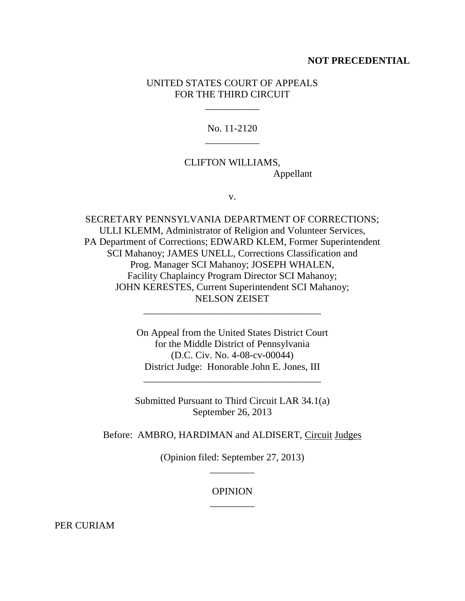### **NOT PRECEDENTIAL**

## UNITED STATES COURT OF APPEALS FOR THE THIRD CIRCUIT

\_\_\_\_\_\_\_\_\_\_\_

No. 11-2120 \_\_\_\_\_\_\_\_\_\_\_

# CLIFTON WILLIAMS, Appellant

v.

SECRETARY PENNSYLVANIA DEPARTMENT OF CORRECTIONS; ULLI KLEMM, Administrator of Religion and Volunteer Services, PA Department of Corrections; EDWARD KLEM, Former Superintendent SCI Mahanoy; JAMES UNELL, Corrections Classification and Prog. Manager SCI Mahanoy; JOSEPH WHALEN, Facility Chaplaincy Program Director SCI Mahanoy; JOHN KERESTES, Current Superintendent SCI Mahanoy; NELSON ZEISET

> On Appeal from the United States District Court for the Middle District of Pennsylvania (D.C. Civ. No. 4-08-cv-00044) District Judge: Honorable John E. Jones, III

\_\_\_\_\_\_\_\_\_\_\_\_\_\_\_\_\_\_\_\_\_\_\_\_\_\_\_\_\_\_\_\_\_\_\_\_

Submitted Pursuant to Third Circuit LAR 34.1(a) September 26, 2013

\_\_\_\_\_\_\_\_\_\_\_\_\_\_\_\_\_\_\_\_\_\_\_\_\_\_\_\_\_\_\_\_\_\_\_\_

Before: AMBRO, HARDIMAN and ALDISERT, Circuit Judges

(Opinion filed: September 27, 2013) \_\_\_\_\_\_\_\_\_

## **OPINION** \_\_\_\_\_\_\_\_\_

PER CURIAM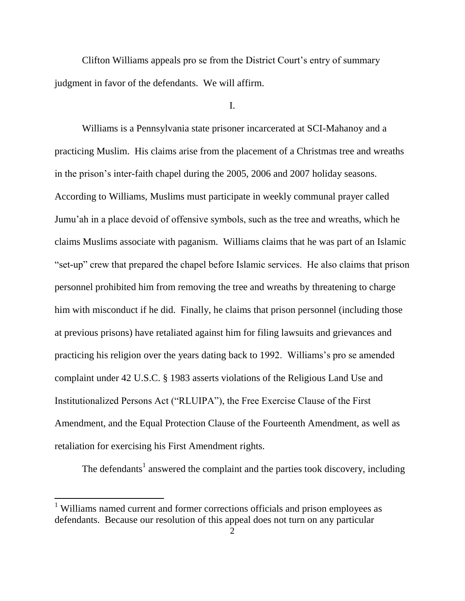Clifton Williams appeals pro se from the District Court's entry of summary judgment in favor of the defendants. We will affirm.

I.

Williams is a Pennsylvania state prisoner incarcerated at SCI-Mahanoy and a practicing Muslim. His claims arise from the placement of a Christmas tree and wreaths in the prison"s inter-faith chapel during the 2005, 2006 and 2007 holiday seasons. According to Williams, Muslims must participate in weekly communal prayer called Jumu"ah in a place devoid of offensive symbols, such as the tree and wreaths, which he claims Muslims associate with paganism. Williams claims that he was part of an Islamic "set-up" crew that prepared the chapel before Islamic services. He also claims that prison personnel prohibited him from removing the tree and wreaths by threatening to charge him with misconduct if he did. Finally, he claims that prison personnel (including those at previous prisons) have retaliated against him for filing lawsuits and grievances and practicing his religion over the years dating back to 1992. Williams"s pro se amended complaint under 42 U.S.C. § 1983 asserts violations of the Religious Land Use and Institutionalized Persons Act ("RLUIPA"), the Free Exercise Clause of the First Amendment, and the Equal Protection Clause of the Fourteenth Amendment, as well as retaliation for exercising his First Amendment rights.

The defendants<sup>1</sup> answered the complaint and the parties took discovery, including

<sup>&</sup>lt;sup>1</sup> Williams named current and former corrections officials and prison employees as defendants. Because our resolution of this appeal does not turn on any particular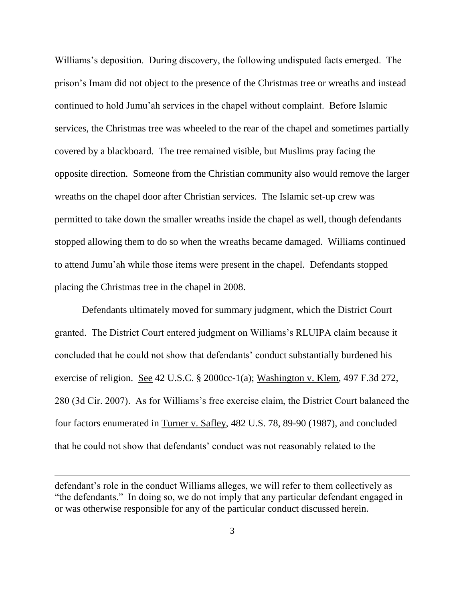Williams's deposition. During discovery, the following undisputed facts emerged. The prison"s Imam did not object to the presence of the Christmas tree or wreaths and instead continued to hold Jumu"ah services in the chapel without complaint. Before Islamic services, the Christmas tree was wheeled to the rear of the chapel and sometimes partially covered by a blackboard. The tree remained visible, but Muslims pray facing the opposite direction. Someone from the Christian community also would remove the larger wreaths on the chapel door after Christian services. The Islamic set-up crew was permitted to take down the smaller wreaths inside the chapel as well, though defendants stopped allowing them to do so when the wreaths became damaged. Williams continued to attend Jumu"ah while those items were present in the chapel. Defendants stopped placing the Christmas tree in the chapel in 2008.

Defendants ultimately moved for summary judgment, which the District Court granted. The District Court entered judgment on Williams"s RLUIPA claim because it concluded that he could not show that defendants" conduct substantially burdened his exercise of religion. See 42 U.S.C. § 2000cc-1(a); Washington v. Klem, 497 F.3d 272, 280 (3d Cir. 2007). As for Williams"s free exercise claim, the District Court balanced the four factors enumerated in Turner v. Safley, 482 U.S. 78, 89-90 (1987), and concluded that he could not show that defendants" conduct was not reasonably related to the

defendant's role in the conduct Williams alleges, we will refer to them collectively as "the defendants." In doing so, we do not imply that any particular defendant engaged in or was otherwise responsible for any of the particular conduct discussed herein.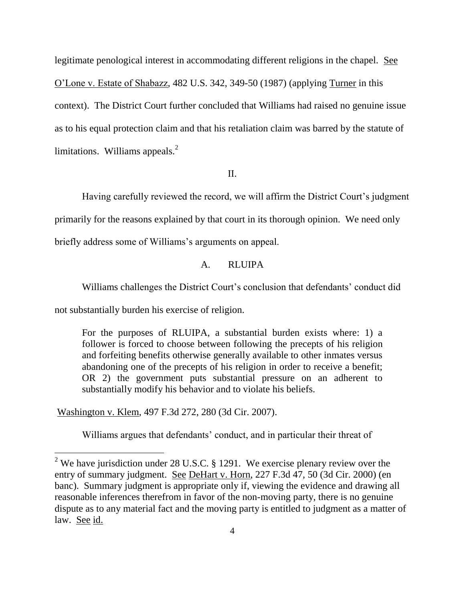legitimate penological interest in accommodating different religions in the chapel. See O"Lone v. Estate of Shabazz, 482 U.S. 342, 349-50 (1987) (applying Turner in this context). The District Court further concluded that Williams had raised no genuine issue as to his equal protection claim and that his retaliation claim was barred by the statute of limitations. Williams appeals. $<sup>2</sup>$ </sup>

#### II.

Having carefully reviewed the record, we will affirm the District Court's judgment

primarily for the reasons explained by that court in its thorough opinion. We need only

briefly address some of Williams"s arguments on appeal.

## A. RLUIPA

Williams challenges the District Court's conclusion that defendants' conduct did

not substantially burden his exercise of religion.

For the purposes of RLUIPA, a substantial burden exists where: 1) a follower is forced to choose between following the precepts of his religion and forfeiting benefits otherwise generally available to other inmates versus abandoning one of the precepts of his religion in order to receive a benefit; OR 2) the government puts substantial pressure on an adherent to substantially modify his behavior and to violate his beliefs.

Washington v. Klem, 497 F.3d 272, 280 (3d Cir. 2007).

 $\overline{a}$ 

Williams argues that defendants' conduct, and in particular their threat of

<sup>&</sup>lt;sup>2</sup> We have jurisdiction under 28 U.S.C. § 1291. We exercise plenary review over the entry of summary judgment. See DeHart v. Horn, 227 F.3d 47, 50 (3d Cir. 2000) (en banc). Summary judgment is appropriate only if, viewing the evidence and drawing all reasonable inferences therefrom in favor of the non-moving party, there is no genuine dispute as to any material fact and the moving party is entitled to judgment as a matter of law. See id.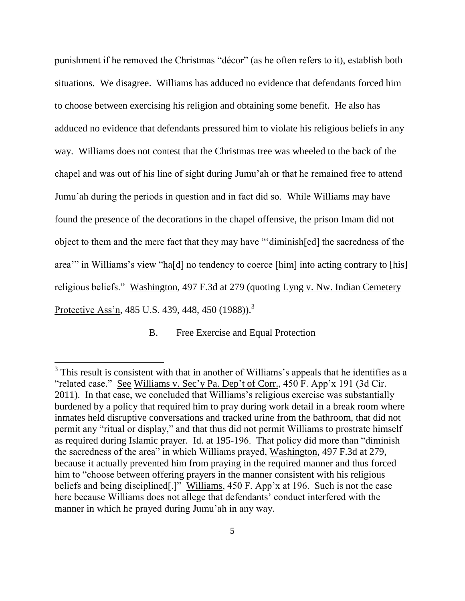punishment if he removed the Christmas "décor" (as he often refers to it), establish both situations. We disagree. Williams has adduced no evidence that defendants forced him to choose between exercising his religion and obtaining some benefit. He also has adduced no evidence that defendants pressured him to violate his religious beliefs in any way. Williams does not contest that the Christmas tree was wheeled to the back of the chapel and was out of his line of sight during Jumu"ah or that he remained free to attend Jumu"ah during the periods in question and in fact did so. While Williams may have found the presence of the decorations in the chapel offensive, the prison Imam did not object to them and the mere fact that they may have ""diminish[ed] the sacredness of the area" in Williams's view "hald no tendency to coerce [him] into acting contrary to [his] religious beliefs." Washington, 497 F.3d at 279 (quoting Lyng v. Nw. Indian Cemetery Protective Ass'n, 485 U.S. 439, 448, 450 (1988)).<sup>3</sup>

B. Free Exercise and Equal Protection

 $3$  This result is consistent with that in another of Williams's appeals that he identifies as a "related case." See Williams v. Sec'y Pa. Dep't of Corr., 450 F. App'x 191 (3d Cir. 2011). In that case, we concluded that Williams"s religious exercise was substantially burdened by a policy that required him to pray during work detail in a break room where inmates held disruptive conversations and tracked urine from the bathroom, that did not permit any "ritual or display," and that thus did not permit Williams to prostrate himself as required during Islamic prayer. Id. at 195-196. That policy did more than "diminish the sacredness of the area" in which Williams prayed, Washington, 497 F.3d at 279, because it actually prevented him from praying in the required manner and thus forced him to "choose between offering prayers in the manner consistent with his religious beliefs and being disciplined[.]" Williams, 450 F. App'x at 196. Such is not the case here because Williams does not allege that defendants' conduct interfered with the manner in which he prayed during Jumu'ah in any way.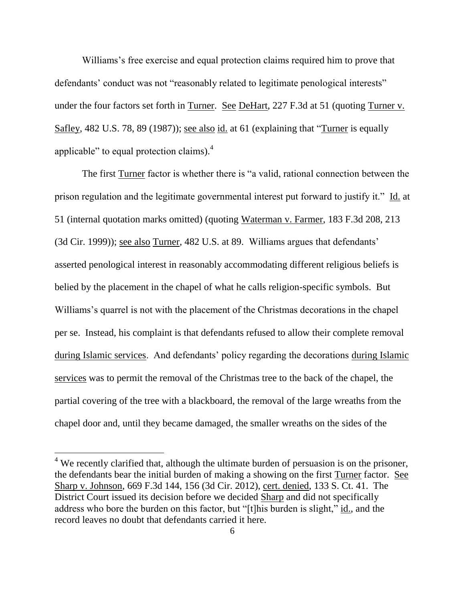Williams's free exercise and equal protection claims required him to prove that defendants' conduct was not "reasonably related to legitimate penological interests" under the four factors set forth in Turner. See DeHart, 227 F.3d at 51 (quoting Turner v. Safley, 482 U.S. 78, 89 (1987)); see also id. at 61 (explaining that "Turner is equally applicable" to equal protection claims).<sup>4</sup>

The first Turner factor is whether there is "a valid, rational connection between the prison regulation and the legitimate governmental interest put forward to justify it." Id. at 51 (internal quotation marks omitted) (quoting Waterman v. Farmer, 183 F.3d 208, 213 (3d Cir. 1999)); see also Turner, 482 U.S. at 89. Williams argues that defendants" asserted penological interest in reasonably accommodating different religious beliefs is belied by the placement in the chapel of what he calls religion-specific symbols. But Williams's quarrel is not with the placement of the Christmas decorations in the chapel per se. Instead, his complaint is that defendants refused to allow their complete removal during Islamic services. And defendants" policy regarding the decorations during Islamic services was to permit the removal of the Christmas tree to the back of the chapel, the partial covering of the tree with a blackboard, the removal of the large wreaths from the chapel door and, until they became damaged, the smaller wreaths on the sides of the

 $4$  We recently clarified that, although the ultimate burden of persuasion is on the prisoner, the defendants bear the initial burden of making a showing on the first Turner factor. See Sharp v. Johnson, 669 F.3d 144, 156 (3d Cir. 2012), cert. denied, 133 S. Ct. 41. The District Court issued its decision before we decided Sharp and did not specifically address who bore the burden on this factor, but "[t]his burden is slight," id., and the record leaves no doubt that defendants carried it here.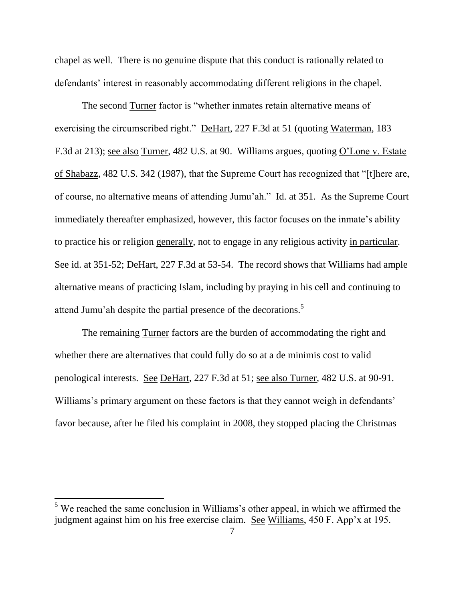chapel as well. There is no genuine dispute that this conduct is rationally related to defendants' interest in reasonably accommodating different religions in the chapel.

The second Turner factor is "whether inmates retain alternative means of exercising the circumscribed right." DeHart, 227 F.3d at 51 (quoting Waterman, 183 F.3d at 213); see also Turner, 482 U.S. at 90. Williams argues, quoting O"Lone v. Estate of Shabazz, 482 U.S. 342 (1987), that the Supreme Court has recognized that "[t]here are, of course, no alternative means of attending Jumu"ah." Id. at 351. As the Supreme Court immediately thereafter emphasized, however, this factor focuses on the inmate's ability to practice his or religion generally, not to engage in any religious activity in particular. See id. at 351-52; DeHart, 227 F.3d at 53-54. The record shows that Williams had ample alternative means of practicing Islam, including by praying in his cell and continuing to attend Jumu'ah despite the partial presence of the decorations.<sup>5</sup>

The remaining Turner factors are the burden of accommodating the right and whether there are alternatives that could fully do so at a de minimis cost to valid penological interests. See DeHart, 227 F.3d at 51; see also Turner, 482 U.S. at 90-91. Williams's primary argument on these factors is that they cannot weigh in defendants' favor because, after he filed his complaint in 2008, they stopped placing the Christmas

 $5$  We reached the same conclusion in Williams's other appeal, in which we affirmed the judgment against him on his free exercise claim. See Williams, 450 F. App"x at 195.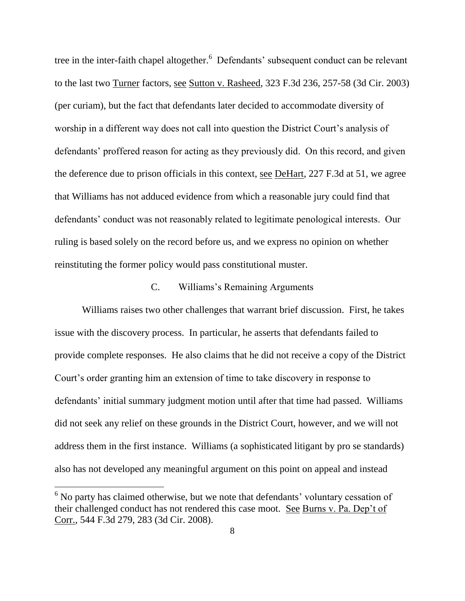tree in the inter-faith chapel altogether.<sup>6</sup> Defendants' subsequent conduct can be relevant to the last two Turner factors, see Sutton v. Rasheed, 323 F.3d 236, 257-58 (3d Cir. 2003) (per curiam), but the fact that defendants later decided to accommodate diversity of worship in a different way does not call into question the District Court's analysis of defendants' proffered reason for acting as they previously did. On this record, and given the deference due to prison officials in this context, see DeHart, 227 F.3d at 51, we agree that Williams has not adduced evidence from which a reasonable jury could find that defendants' conduct was not reasonably related to legitimate penological interests. Our ruling is based solely on the record before us, and we express no opinion on whether reinstituting the former policy would pass constitutional muster.

### C. Williams"s Remaining Arguments

Williams raises two other challenges that warrant brief discussion. First, he takes issue with the discovery process. In particular, he asserts that defendants failed to provide complete responses. He also claims that he did not receive a copy of the District Court"s order granting him an extension of time to take discovery in response to defendants' initial summary judgment motion until after that time had passed. Williams did not seek any relief on these grounds in the District Court, however, and we will not address them in the first instance. Williams (a sophisticated litigant by pro se standards) also has not developed any meaningful argument on this point on appeal and instead

 $6$  No party has claimed otherwise, but we note that defendants' voluntary cessation of their challenged conduct has not rendered this case moot. See Burns v. Pa. Dep"t of Corr., 544 F.3d 279, 283 (3d Cir. 2008).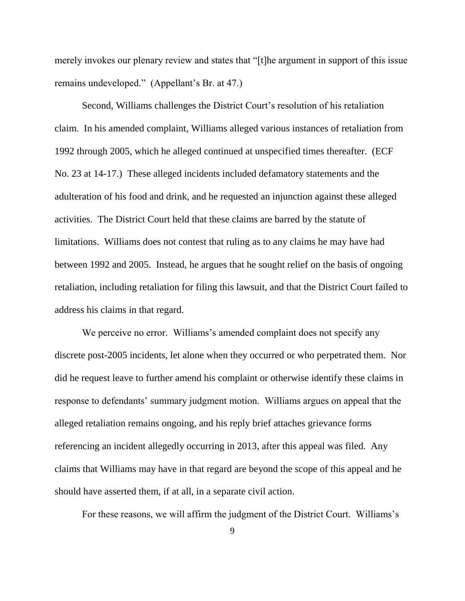merely invokes our plenary review and states that "[t]he argument in support of this issue remains undeveloped." (Appellant's Br. at 47.)

Second, Williams challenges the District Court"s resolution of his retaliation claim. In his amended complaint, Williams alleged various instances of retaliation from 1992 through 2005, which he alleged continued at unspecified times thereafter. (ECF No. 23 at 14-17.) These alleged incidents included defamatory statements and the adulteration of his food and drink, and he requested an injunction against these alleged activities. The District Court held that these claims are barred by the statute of limitations. Williams does not contest that ruling as to any claims he may have had between 1992 and 2005. Instead, he argues that he sought relief on the basis of ongoing retaliation, including retaliation for filing this lawsuit, and that the District Court failed to address his claims in that regard.

We perceive no error. Williams's amended complaint does not specify any discrete post-2005 incidents, let alone when they occurred or who perpetrated them. Nor did he request leave to further amend his complaint or otherwise identify these claims in response to defendants' summary judgment motion. Williams argues on appeal that the alleged retaliation remains ongoing, and his reply brief attaches grievance forms referencing an incident allegedly occurring in 2013, after this appeal was filed. Any claims that Williams may have in that regard are beyond the scope of this appeal and he should have asserted them, if at all, in a separate civil action.

For these reasons, we will affirm the judgment of the District Court. Williams"s